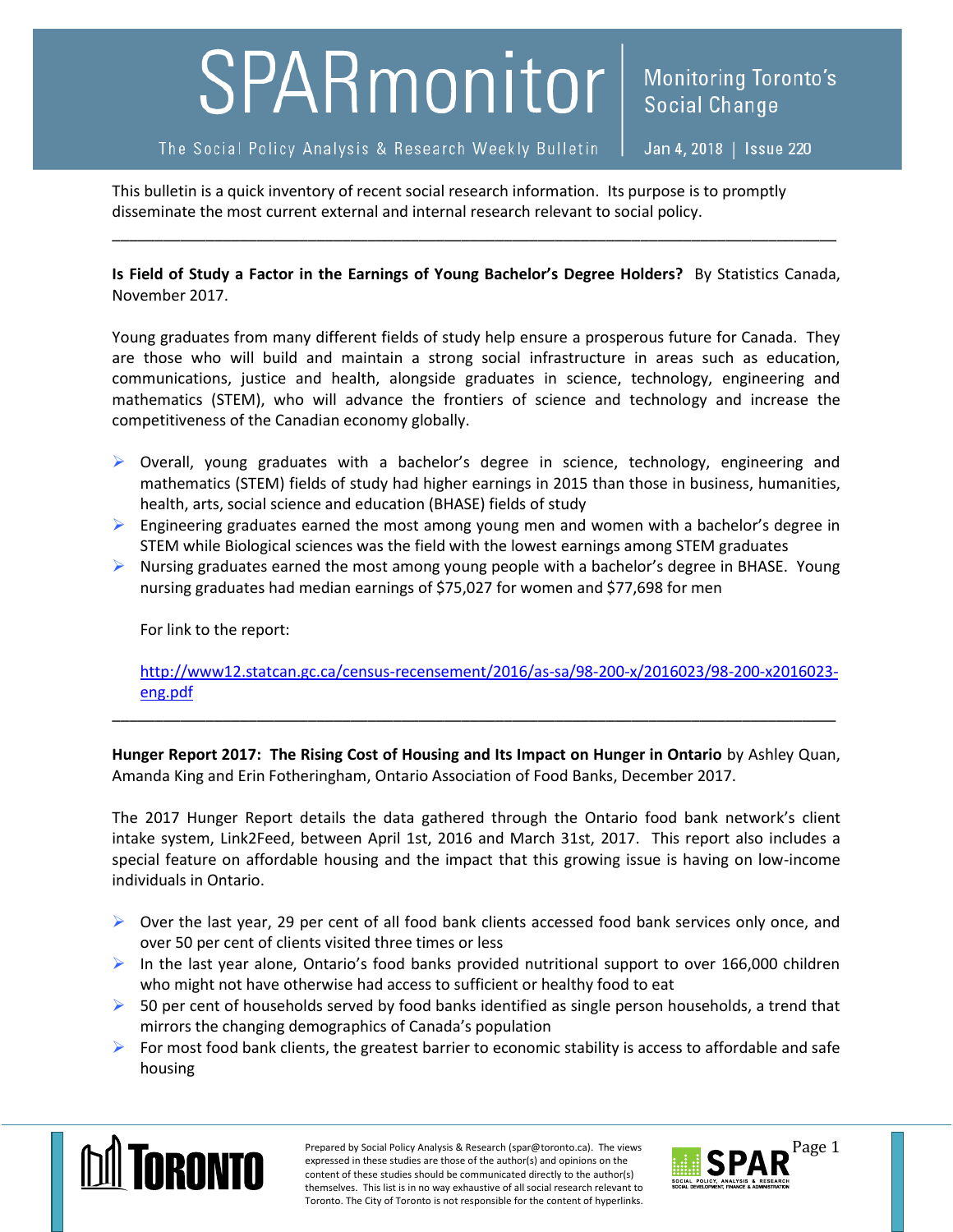## SPARmonitor

The Social Policy Analysis & Research Weekly Bulletin

Jan 4, 2018 | Issue 220

**Social Change** 

**Monitoring Toronto's** 

This bulletin is a quick inventory of recent social research information. Its purpose is to promptly disseminate the most current external and internal research relevant to social policy.

**Is Field of Study a Factor in the Earnings of Young Bachelor's Degree Holders?** By Statistics Canada, November 2017.

\_\_\_\_\_\_\_\_\_\_\_\_\_\_\_\_\_\_\_\_\_\_\_\_\_\_\_\_\_\_\_\_\_\_\_\_\_\_\_\_\_\_\_\_\_\_\_\_\_\_\_\_\_\_\_\_\_\_\_\_\_\_\_\_\_\_\_\_\_\_\_\_\_\_\_\_\_\_\_\_\_\_\_\_\_

Young graduates from many different fields of study help ensure a prosperous future for Canada. They are those who will build and maintain a strong social infrastructure in areas such as education, communications, justice and health, alongside graduates in science, technology, engineering and mathematics (STEM), who will advance the frontiers of science and technology and increase the competitiveness of the Canadian economy globally.

- $\triangleright$  Overall, young graduates with a bachelor's degree in science, technology, engineering and mathematics (STEM) fields of study had higher earnings in 2015 than those in business, humanities, health, arts, social science and education (BHASE) fields of study
- $\triangleright$  Engineering graduates earned the most among young men and women with a bachelor's degree in STEM while Biological sciences was the field with the lowest earnings among STEM graduates
- $\triangleright$  Nursing graduates earned the most among young people with a bachelor's degree in BHASE. Young nursing graduates had median earnings of \$75,027 for women and \$77,698 for men

For link to the report:

[http://www12.statcan.gc.ca/census-recensement/2016/as-sa/98-200-x/2016023/98-200-x2016023](http://www12.statcan.gc.ca/census-recensement/2016/as-sa/98-200-x/2016023/98-200-x2016023-eng.pdf) [eng.pdf](http://www12.statcan.gc.ca/census-recensement/2016/as-sa/98-200-x/2016023/98-200-x2016023-eng.pdf)

**Hunger Report 2017: The Rising Cost of Housing and Its Impact on Hunger in Ontario** by Ashley Quan, Amanda King and Erin Fotheringham, Ontario Association of Food Banks, December 2017.

\_\_\_\_\_\_\_\_\_\_\_\_\_\_\_\_\_\_\_\_\_\_\_\_\_\_\_\_\_\_\_\_\_\_\_\_\_\_\_\_\_\_\_\_\_\_\_\_\_\_\_\_\_\_\_\_\_\_\_\_\_\_\_\_\_\_\_\_\_\_\_\_\_\_\_\_\_\_\_\_\_\_\_\_\_

The 2017 Hunger Report details the data gathered through the Ontario food bank network's client intake system, Link2Feed, between April 1st, 2016 and March 31st, 2017. This report also includes a special feature on affordable housing and the impact that this growing issue is having on low-income individuals in Ontario.

- $\triangleright$  Over the last year, 29 per cent of all food bank clients accessed food bank services only once, and over 50 per cent of clients visited three times or less
- In the last year alone, Ontario's food banks provided nutritional support to over 166,000 children who might not have otherwise had access to sufficient or healthy food to eat
- $\triangleright$  50 per cent of households served by food banks identified as single person households, a trend that mirrors the changing demographics of Canada's population
- For most food bank clients, the greatest barrier to economic stability is access to affordable and safe housing



Prepared by Social Policy Analysis & Research (spar@toronto.ca). The views Page 1 expressed in these studies are those of the author(s) and opinions on the content of these studies should be communicated directly to the author(s) themselves. This list is in no way exhaustive of all social research relevant to Toronto. The City of Toronto is not responsible for the content of hyperlinks.

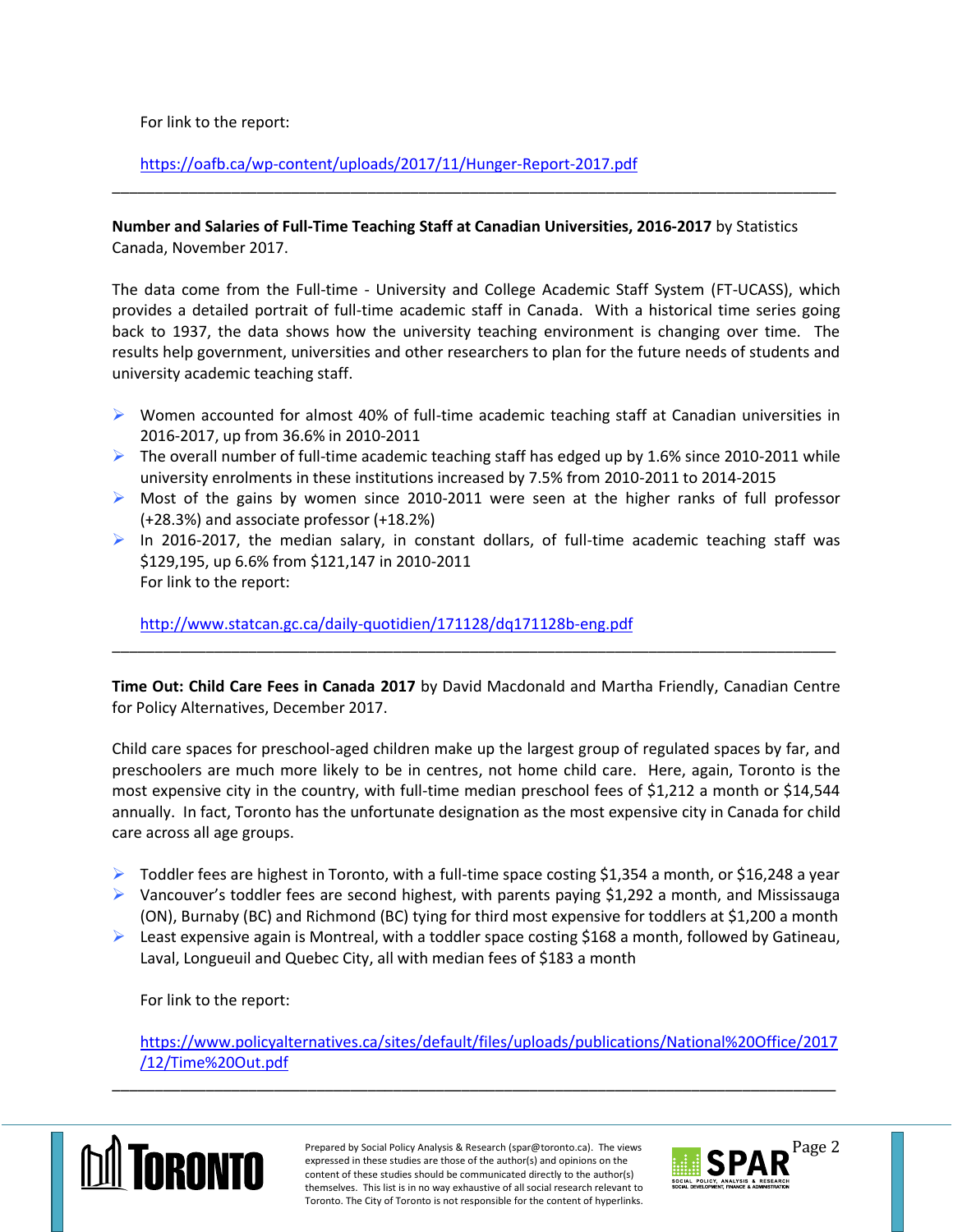For link to the report:

<https://oafb.ca/wp-content/uploads/2017/11/Hunger-Report-2017.pdf>

**Number and Salaries of Full-Time Teaching Staff at Canadian Universities, 2016-2017** by Statistics Canada, November 2017.

\_\_\_\_\_\_\_\_\_\_\_\_\_\_\_\_\_\_\_\_\_\_\_\_\_\_\_\_\_\_\_\_\_\_\_\_\_\_\_\_\_\_\_\_\_\_\_\_\_\_\_\_\_\_\_\_\_\_\_\_\_\_\_\_\_\_\_\_\_\_\_\_\_\_\_\_\_\_\_\_\_\_\_\_\_

The data come from the Full-time - University and College Academic Staff System (FT-UCASS), which provides a detailed portrait of full-time academic staff in Canada. With a historical time series going back to 1937, the data shows how the university teaching environment is changing over time. The results help government, universities and other researchers to plan for the future needs of students and university academic teaching staff.

- Women accounted for almost 40% of full-time academic teaching staff at Canadian universities in 2016-2017, up from 36.6% in 2010-2011
- $\triangleright$  The overall number of full-time academic teaching staff has edged up by 1.6% since 2010-2011 while university enrolments in these institutions increased by 7.5% from 2010-2011 to 2014-2015
- $\triangleright$  Most of the gains by women since 2010-2011 were seen at the higher ranks of full professor (+28.3%) and associate professor (+18.2%)
- In 2016-2017, the median salary, in constant dollars, of full-time academic teaching staff was \$129,195, up 6.6% from \$121,147 in 2010-2011 For link to the report:

<http://www.statcan.gc.ca/daily-quotidien/171128/dq171128b-eng.pdf>

**Time Out: Child Care Fees in Canada 2017** by David Macdonald and Martha Friendly, Canadian Centre for Policy Alternatives, December 2017.

\_\_\_\_\_\_\_\_\_\_\_\_\_\_\_\_\_\_\_\_\_\_\_\_\_\_\_\_\_\_\_\_\_\_\_\_\_\_\_\_\_\_\_\_\_\_\_\_\_\_\_\_\_\_\_\_\_\_\_\_\_\_\_\_\_\_\_\_\_\_\_\_\_\_\_\_\_\_\_\_\_\_\_\_\_

Child care spaces for preschool-aged children make up the largest group of regulated spaces by far, and preschoolers are much more likely to be in centres, not home child care. Here, again, Toronto is the most expensive city in the country, with full-time median preschool fees of \$1,212 a month or \$14,544 annually. In fact, Toronto has the unfortunate designation as the most expensive city in Canada for child care across all age groups.

- $\triangleright$  Toddler fees are highest in Toronto, with a full-time space costing \$1,354 a month, or \$16,248 a year
- $\triangleright$  Vancouver's toddler fees are second highest, with parents paying \$1,292 a month, and Mississauga (ON), Burnaby (BC) and Richmond (BC) tying for third most expensive for toddlers at \$1,200 a month
- **EXECUTE:** Least expensive again is Montreal, with a toddler space costing \$168 a month, followed by Gatineau, Laval, Longueuil and Quebec City, all with median fees of \$183 a month

For link to the report:

[https://www.policyalternatives.ca/sites/default/files/uploads/publications/National%20Office/2017](https://www.policyalternatives.ca/sites/default/files/uploads/publications/National%20Office/2017/12/Time%20Out.pdf) [/12/Time%20Out.pdf](https://www.policyalternatives.ca/sites/default/files/uploads/publications/National%20Office/2017/12/Time%20Out.pdf)



Prepared by Social Policy Analysis & Research (spar@toronto.ca). The views **Page 2** expressed in these studies are those of the author(s) and opinions on the content of these studies should be communicated directly to the author(s) themselves. This list is in no way exhaustive of all social research relevant to Toronto. The City of Toronto is not responsible for the content of hyperlinks.

\_\_\_\_\_\_\_\_\_\_\_\_\_\_\_\_\_\_\_\_\_\_\_\_\_\_\_\_\_\_\_\_\_\_\_\_\_\_\_\_\_\_\_\_\_\_\_\_\_\_\_\_\_\_\_\_\_\_\_\_\_\_\_\_\_\_\_\_\_\_\_\_\_\_\_\_\_\_\_\_\_\_\_\_\_